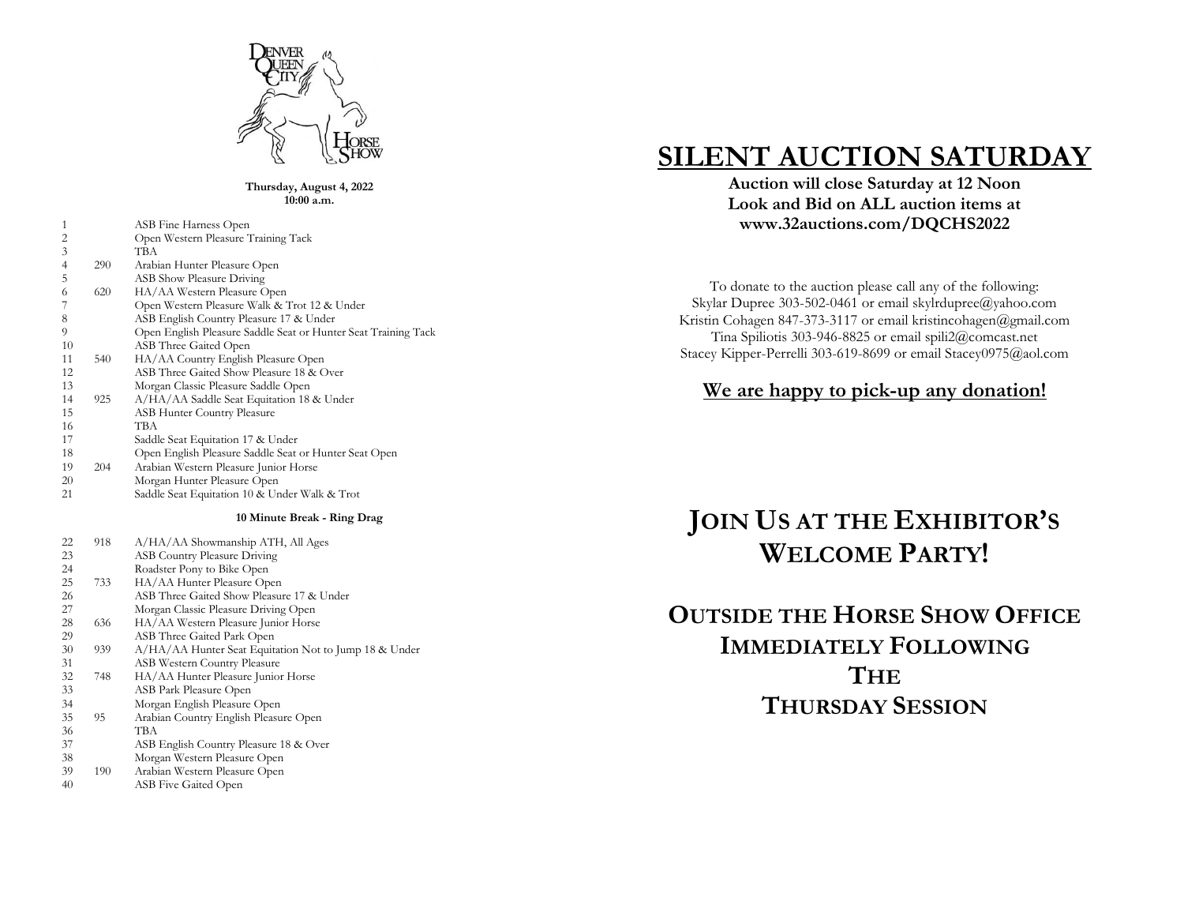

**Thursday, August 4, 2022 10:00 a.m.**

| 1  |     | ASB Fine Harness Open                                          |
|----|-----|----------------------------------------------------------------|
| 2  |     | Open Western Pleasure Training Tack                            |
| 3  |     | ТВА                                                            |
| 4  | 290 | Arabian Hunter Pleasure Open                                   |
| 5  |     | <b>ASB Show Pleasure Driving</b>                               |
| 6  | 620 | HA/AA Western Pleasure Open                                    |
|    |     | Open Western Pleasure Walk & Trot 12 & Under                   |
| 8  |     | ASB English Country Pleasure 17 & Under                        |
| 9  |     | Open English Pleasure Saddle Seat or Hunter Seat Training Tack |
| 10 |     | ASB Three Gaited Open                                          |
| 11 | 540 | HA/AA Country English Pleasure Open                            |
| 12 |     | ASB Three Gaited Show Pleasure 18 & Over                       |
| 13 |     | Morgan Classic Pleasure Saddle Open                            |
| 14 | 925 | A/HA/AA Saddle Seat Equitation 18 & Under                      |
| 15 |     | <b>ASB Hunter Country Pleasure</b>                             |
| 16 |     | ТВА                                                            |
| 17 |     | Saddle Seat Equitation 17 & Under                              |
| 18 |     | Open English Pleasure Saddle Seat or Hunter Seat Open          |
| 19 | 204 | Arabian Western Pleasure Junior Horse                          |
| 20 |     | Morgan Hunter Pleasure Open                                    |
| 21 |     | Saddle Seat Equitation 10 & Under Walk & Trot                  |

#### **10 Minute Break - Ring Drag**

| 22     | 918            | A/HA/AA Showmanship ATH, All Ages                     |
|--------|----------------|-------------------------------------------------------|
| 23     |                | <b>ASB Country Pleasure Driving</b>                   |
| 24     |                | Roadster Pony to Bike Open                            |
| 25     | 733            | HA/AA Hunter Pleasure Open                            |
| 26     |                | ASB Three Gaited Show Pleasure 17 & Under             |
| 27     |                | Morgan Classic Pleasure Driving Open                  |
| 28     | 636            | HA/AA Western Pleasure Junior Horse                   |
| 29     |                | ASB Three Gaited Park Open                            |
| 30     | 939            | A/HA/AA Hunter Seat Equitation Not to Jump 18 & Under |
| 31     |                | ASB Western Country Pleasure                          |
| 32     | 748            | HA/AA Hunter Pleasure Junior Horse                    |
| 33     |                | ASB Park Pleasure Open                                |
| 34     |                | Morgan English Pleasure Open                          |
| 35     | 95             | Arabian Country English Pleasure Open                 |
| 36     |                | ТВА                                                   |
| 37     |                | ASB English Country Pleasure 18 & Over                |
| 38     |                | Morgan Western Pleasure Open                          |
| $\sim$ | $\overline{A}$ |                                                       |

- 190 Arabian Western Pleasure Open
- ASB Five Gaited Open

# **SILENT AUCTION SATURDAY**

**Auction will close Saturday at 12 Noon Look and Bid on ALL auction items at www.32auctions.com/DQCHS202 2**

To donate to the auction please call any of the following: Skylar Dupree 303 -502 -0461 or email skylrdupree@yahoo.com Kristin Cohagen 847 -373 -3117 or email kristincohagen@gmail.com Tina Spiliotis 303 -946 -8825 or email spili2@comcast.net Stacey Kipper-Perrelli 303-619-8699 or email Stacey0975@aol.com

### **We are happy to pick -up any donation!**

# **JOIN US AT THE EXHIBITOR ' S WELCOME PARTY !**

## **OUTSIDE THE HORSE SHOW OFFICE IMMEDIATELY FOLLOWING THE THURSDAY SESSION**